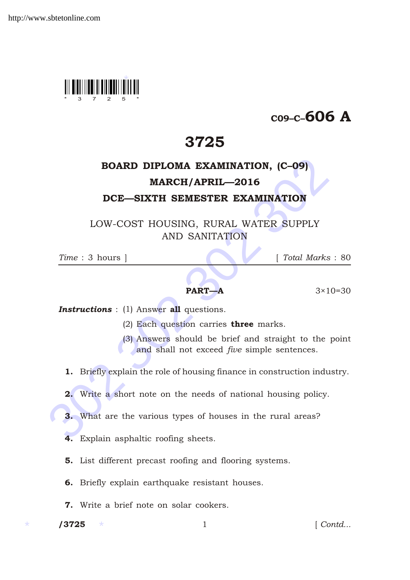

## C09–C–606 A

## 3725

## **BOARD DIPLOMA EXAMINATION, (C-09)**<br> **MARCH/APRIL—2016**<br> **DCE—SIXTH SEMESTER EXAMINATION**<br>
LOW-COST HOUSING, RURAL WATER SUPPLY<br>
AND SANITATION<br>  $Time: 3 \text{ hours}$  [Total Marks :<br> **PART—A** 3×10-<br> **Instructions** : (1) Answer all BOARD DIPLOMA EXAMINATION, (C–09) MARCH/APRIL—2016 DCE—SIXTH SEMESTER EXAMINATION

LOW-COST HOUSING, RURAL WATER SUPPLY AND SANITATION

*Time* : 3 hours ] [ *Total Marks* : 80

**PART—A**  $3 \times 10 = 30$ 

**Instructions** : (1) Answer all questions.

- (2) Each question carries three marks.
- (3) Answers should be brief and straight to the point and shall not exceed *five* simple sentences.
- 1. Briefly explain the role of housing finance in construction industry.
- 2. Write a short note on the needs of national housing policy.
- 3. What are the various types of houses in the rural areas?
- 4. Explain asphaltic roofing sheets.
- 5. List different precast roofing and flooring systems.
- 6. Briefly explain earthquake resistant houses.
- 7. Write a brief note on solar cookers.

/3725

1 *Contd...*